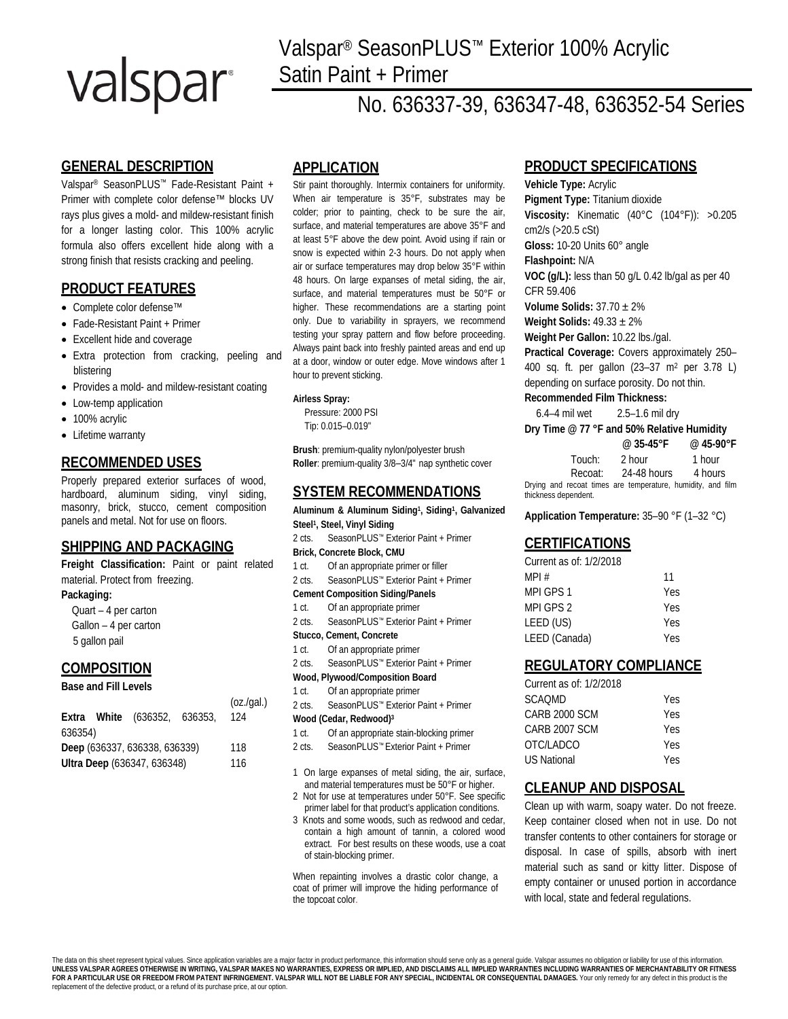# valspar

# Valspar® SeasonPLUS™ Exterior 100% Acrylic Satin Paint + Primer

# No. 636337-39, 636347-48, 636352-54 Series

# **GENERAL DESCRIPTION**

Valspar® SeasonPLUS™ Fade-Resistant Paint + Primer with complete color defense™ blocks UV rays plus gives a mold- and mildew-resistant finish for a longer lasting color. This 100% acrylic formula also offers excellent hide along with a strong finish that resists cracking and peeling.

# **PRODUCT FEATURES**

- Complete color defense™
- Fade-Resistant Paint + Primer
- Excellent hide and coverage
- Extra protection from cracking, peeling and blistering
- Provides a mold- and mildew-resistant coating
- Low-temp application
- 100% acrylic
- Lifetime warranty

# **RECOMMENDED USES**

Properly prepared exterior surfaces of wood, hardboard, aluminum siding, vinyl siding, masonry, brick, stucco, cement composition panels and metal. Not for use on floors.

# **SHIPPING AND PACKAGING**

**Freight Classification:** Paint or paint related material. Protect from freezing.

### **Packaging:**

 Quart – 4 per carton Gallon – 4 per carton 5 gallon pail

### **COMPOSITION**

### **Base and Fill Levels**

|                               |  |  | (oz.(gal.))<br>124                  |
|-------------------------------|--|--|-------------------------------------|
| 636354)                       |  |  |                                     |
| Deep (636337, 636338, 636339) |  |  |                                     |
| Ultra Deep (636347, 636348)   |  |  |                                     |
|                               |  |  | <b>Extra White</b> (636352, 636353, |

### **APPLICATION**

Stir paint thoroughly. Intermix containers for uniformity. When air temperature is 35°F, substrates may be colder; prior to painting, check to be sure the air, surface, and material temperatures are above 35°F and at least 5°F above the dew point. Avoid using if rain or snow is expected within 2-3 hours. Do not apply when air or surface temperatures may drop below 35°F within 48 hours. On large expanses of metal siding, the air, surface, and material temperatures must be 50°F or higher. These recommendations are a starting point only. Due to variability in sprayers, we recommend testing your spray pattern and flow before proceeding. Always paint back into freshly painted areas and end up at a door, window or outer edge. Move windows after 1 hour to prevent sticking.

### **Airless Spray:**

Pressure: 2000 PSI Tip: 0.015–0.019"

**Brush**: premium-quality nylon/polyester brush **Roller**: premium-quality 3/8–3/4" nap synthetic cover

# **SYSTEM RECOMMENDATIONS**

**Aluminum & Aluminum Siding1, Siding1, Galvanized Steel1, Steel, Vinyl Siding**

- 2 cts. SeasonPLUS™ Exterior Paint + Primer **Brick, Concrete Block, CMU**
- 1 ct. Of an appropriate primer or filler
- 2 cts. SeasonPLUS™ Exterior Paint + Primer
- **Cement Composition Siding/Panels**
- 1 ct. Of an appropriate primer
- 2 cts. SeasonPLUS™ Exterior Paint + Primer
- **Stucco, Cement, Concrete**
- 1 ct. Of an appropriate primer
- 2 cts. SeasonPLUS™ Exterior Paint + Primer
- **Wood, Plywood/Composition Board** 1 ct. Of an appropriate primer
- 2 cts. SeasonPLUS™ Exterior Paint + Primer

#### **Wood (Cedar, Redwood)3**

- 1 ct. Of an appropriate stain-blocking primer
- 2 cts. SeasonPLUS™ Exterior Paint + Primer
- 1 On large expanses of metal siding, the air, surface, and material temperatures must be 50°F or higher.
- 2 Not for use at temperatures under 50°F. See specific primer label for that product's application conditions.
- 3 Knots and some woods, such as redwood and cedar, contain a high amount of tannin, a colored wood extract. For best results on these woods, use a coat of stain-blocking primer.

When repainting involves a drastic color change, a coat of primer will improve the hiding performance of the topcoat color.

# **PRODUCT SPECIFICATIONS**

**Vehicle Type:** Acrylic **Pigment Type:** Titanium dioxide **Viscosity:** Kinematic (40°C (104°F)): >0.205 cm2/s (>20.5 cSt) **Gloss:** 10-20 Units 60° angle **Flashpoint:** N/A **VOC (g/L):** less than 50 g/L 0.42 lb/gal as per 40 CFR 59.406 **Volume Solids:** 37.70 ± 2% **Weight Solids:** 49.33 ± 2% **Weight Per Gallon:** 10.22 lbs./gal. **Practical Coverage:** Covers approximately 250– 400 sq. ft. per gallon (23–37 m2 per 3.78 L) depending on surface porosity. Do not thin.

### **Recommended Film Thickness:**

6.4–4 mil wet 2.5–1.6 mil dry

| Dry Time @ 77 °F and 50% Relative Humidity                  |                     |           |  |  |
|-------------------------------------------------------------|---------------------|-----------|--|--|
|                                                             | @ $35-45^{\circ}$ F | @ 45-90°F |  |  |
| Touch:                                                      | 2 hour              | 1 hour    |  |  |
| Recoat:                                                     | 24-48 hours         | 4 hours   |  |  |
| Drying and recoat times are temperature, humidity, and film |                     |           |  |  |
| thickness dependent.                                        |                     |           |  |  |

**Application Temperature:** 35–90 °F (1–32 °C)

### **CERTIFICATIONS**

| Yes        |
|------------|
| <b>Yes</b> |
| Yes        |
| Yes        |
|            |

### **REGULATORY COMPLIANCE**

| Current as of: 1/2/2018 |            |
|-------------------------|------------|
| SCAOMD                  | Yes        |
| CARB 2000 SCM           | Yes        |
| CARB 2007 SCM           | <b>Yes</b> |
| OTC/LADCO               | Yes        |
| <b>US National</b>      | Yes        |

# **CLEANUP AND DISPOSAL**

Clean up with warm, soapy water. Do not freeze. Keep container closed when not in use. Do not transfer contents to other containers for storage or disposal. In case of spills, absorb with inert material such as sand or kitty litter. Dispose of empty container or unused portion in accordance with local, state and federal regulations.